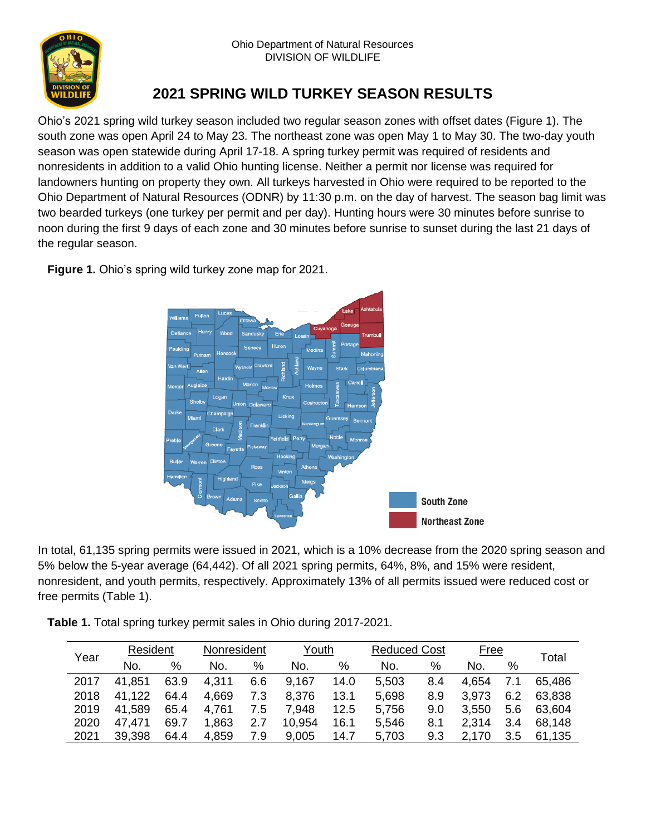

## **2021 SPRING WILD TURKEY SEASON RESULTS**

Ohio's 2021 spring wild turkey season included two regular season zones with offset dates (Figure 1). The south zone was open April 24 to May 23. The northeast zone was open May 1 to May 30. The two-day youth season was open statewide during April 17-18. A spring turkey permit was required of residents and nonresidents in addition to a valid Ohio hunting license. Neither a permit nor license was required for landowners hunting on property they own. All turkeys harvested in Ohio were required to be reported to the Ohio Department of Natural Resources (ODNR) by 11:30 p.m. on the day of harvest. The season bag limit was two bearded turkeys (one turkey per permit and per day). Hunting hours were 30 minutes before sunrise to noon during the first 9 days of each zone and 30 minutes before sunrise to sunset during the last 21 days of the regular season.

**Figure 1.** Ohio's spring wild turkey zone map for 2021.



In total, 61,135 spring permits were issued in 2021, which is a 10% decrease from the 2020 spring season and 5% below the 5-year average (64,442). Of all 2021 spring permits, 64%, 8%, and 15% were resident, nonresident, and youth permits, respectively. Approximately 13% of all permits issued were reduced cost or free permits (Table 1).

**Table 1.** Total spring turkey permit sales in Ohio during 2017-2021.

| Year | Resident |      | Nonresident |     | Youth  |      | <b>Reduced Cost</b> |     | <u>Free</u> |     |        |
|------|----------|------|-------------|-----|--------|------|---------------------|-----|-------------|-----|--------|
|      | No.      | %    | No.         | %   | No.    | $\%$ | No.                 | %   | No.         | %   | Total  |
| 2017 | 41,851   | 63.9 | 4,311       | 6.6 | 9,167  | 14.0 | 5,503               | 8.4 | 4,654       | 7.1 | 65,486 |
| 2018 | 41.122   | 64.4 | 4,669       | 7.3 | 8,376  | 13.1 | 5,698               | 8.9 | 3.973       | 6.2 | 63,838 |
| 2019 | 41,589   | 65.4 | 4.761       | 7.5 | 7,948  | 12.5 | 5,756               | 9.0 | 3,550       | 5.6 | 63,604 |
| 2020 | 47.471   | 69.7 | 1,863       | 2.7 | 10,954 | 16.1 | 5,546               | 8.1 | 2.314       | 3.4 | 68,148 |
| 2021 | 39,398   | 64.4 | 4,859       | 7.9 | 9,005  | 14.7 | 5,703               | 9.3 | 2,170       | 3.5 | 61,135 |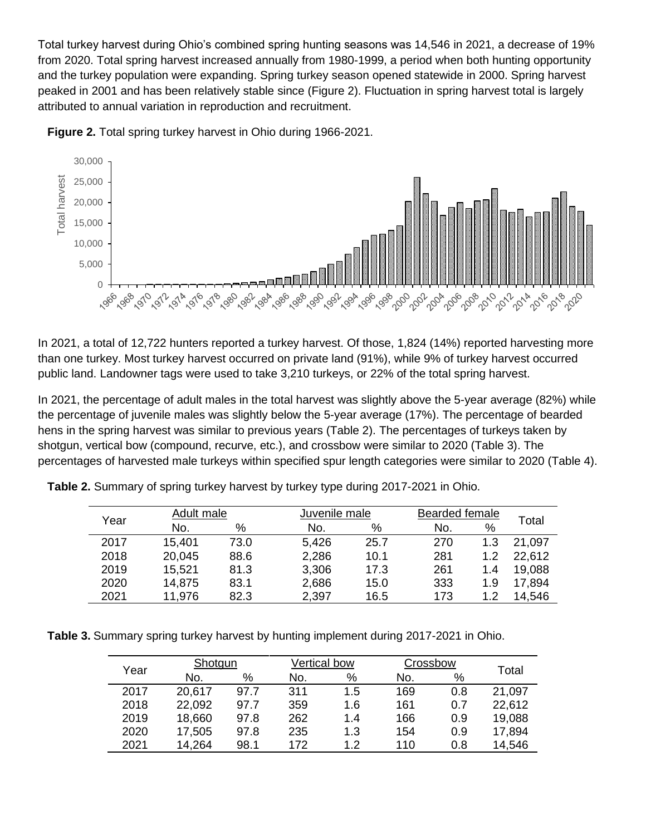Total turkey harvest during Ohio's combined spring hunting seasons was 14,546 in 2021, a decrease of 19% from 2020. Total spring harvest increased annually from 1980-1999, a period when both hunting opportunity and the turkey population were expanding. Spring turkey season opened statewide in 2000. Spring harvest peaked in 2001 and has been relatively stable since (Figure 2). Fluctuation in spring harvest total is largely attributed to annual variation in reproduction and recruitment.





In 2021, a total of 12,722 hunters reported a turkey harvest. Of those, 1,824 (14%) reported harvesting more than one turkey. Most turkey harvest occurred on private land (91%), while 9% of turkey harvest occurred public land. Landowner tags were used to take 3,210 turkeys, or 22% of the total spring harvest.

In 2021, the percentage of adult males in the total harvest was slightly above the 5-year average (82%) while the percentage of juvenile males was slightly below the 5-year average (17%). The percentage of bearded hens in the spring harvest was similar to previous years (Table 2). The percentages of turkeys taken by shotgun, vertical bow (compound, recurve, etc.), and crossbow were similar to 2020 (Table 3). The percentages of harvested male turkeys within specified spur length categories were similar to 2020 (Table 4).

**Table 2.** Summary of spring turkey harvest by turkey type during 2017-2021 in Ohio.

| Year |        | Adult male |       | Juvenile male |     | <b>Bearded female</b> |        |  |
|------|--------|------------|-------|---------------|-----|-----------------------|--------|--|
|      | No.    | %          | No.   | %             | No. | %                     | Total  |  |
| 2017 | 15,401 | 73.0       | 5,426 | 25.7          | 270 | 1.3                   | 21,097 |  |
| 2018 | 20,045 | 88.6       | 2,286 | 10.1          | 281 | 1.2                   | 22,612 |  |
| 2019 | 15,521 | 81.3       | 3,306 | 17.3          | 261 | 1.4                   | 19,088 |  |
| 2020 | 14,875 | 83.1       | 2,686 | 15.0          | 333 | 1.9                   | 17,894 |  |
| 2021 | 11,976 | 82.3       | 2,397 | 16.5          | 173 | 1.2                   | 14,546 |  |

**Table 3.** Summary spring turkey harvest by hunting implement during 2017-2021 in Ohio.

| Year |        | Shotgun |     | Vertical bow |     | Crossbow |        |
|------|--------|---------|-----|--------------|-----|----------|--------|
|      | No.    | %       | No. | %            | No. | %        | Total  |
| 2017 | 20,617 | 97.7    | 311 | 1.5          | 169 | 0.8      | 21,097 |
| 2018 | 22,092 | 97.7    | 359 | 1.6          | 161 | 0.7      | 22,612 |
| 2019 | 18,660 | 97.8    | 262 | 1.4          | 166 | 0.9      | 19,088 |
| 2020 | 17,505 | 97.8    | 235 | 1.3          | 154 | 0.9      | 17,894 |
| 2021 | 14.264 | 98.1    | 172 | 12           | 110 | 0.8      | 14,546 |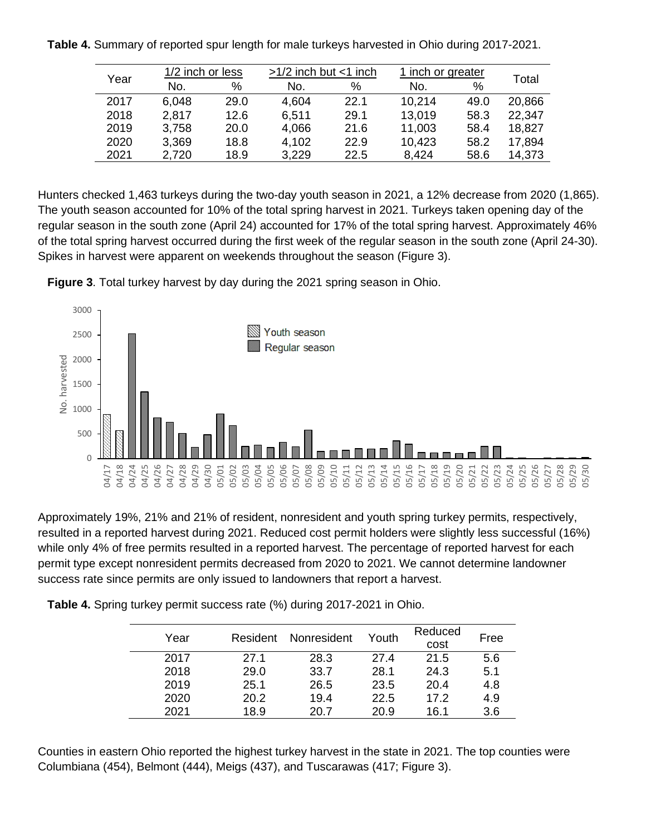|  |  | Table 4. Summary of reported spur length for male turkeys harvested in Ohio during 2017-2021. |
|--|--|-----------------------------------------------------------------------------------------------|
|  |  |                                                                                               |

| Year |       | 1/2 inch or less |       | $>1/2$ inch but $<$ 1 inch |        | 1 inch or greater |        |  |
|------|-------|------------------|-------|----------------------------|--------|-------------------|--------|--|
|      | No.   | %                | No.   | %                          | No.    | $\%$              | Total  |  |
| 2017 | 6,048 | 29.0             | 4,604 | 22.1                       | 10,214 | 49.0              | 20,866 |  |
| 2018 | 2,817 | 12.6             | 6,511 | 29.1                       | 13,019 | 58.3              | 22,347 |  |
| 2019 | 3,758 | 20.0             | 4,066 | 21.6                       | 11,003 | 58.4              | 18,827 |  |
| 2020 | 3,369 | 18.8             | 4,102 | 22.9                       | 10,423 | 58.2              | 17,894 |  |
| 2021 | 2,720 | 18.9             | 3,229 | 22.5                       | 8,424  | 58.6              | 14,373 |  |

Hunters checked 1,463 turkeys during the two-day youth season in 2021, a 12% decrease from 2020 (1,865). The youth season accounted for 10% of the total spring harvest in 2021. Turkeys taken opening day of the regular season in the south zone (April 24) accounted for 17% of the total spring harvest. Approximately 46% of the total spring harvest occurred during the first week of the regular season in the south zone (April 24-30). Spikes in harvest were apparent on weekends throughout the season (Figure 3).





Approximately 19%, 21% and 21% of resident, nonresident and youth spring turkey permits, respectively, resulted in a reported harvest during 2021. Reduced cost permit holders were slightly less successful (16%) while only 4% of free permits resulted in a reported harvest. The percentage of reported harvest for each permit type except nonresident permits decreased from 2020 to 2021. We cannot determine landowner success rate since permits are only issued to landowners that report a harvest.

|  | Table 4. Spring turkey permit success rate (%) during 2017-2021 in Ohio. |  |  |
|--|--------------------------------------------------------------------------|--|--|
|  |                                                                          |  |  |

| Year | Resident | Nonresident | Youth | Reduced<br>cost | Free |
|------|----------|-------------|-------|-----------------|------|
| 2017 | 27.1     | 28.3        | 27.4  | 21.5            | 5.6  |
| 2018 | 29.0     | 33.7        | 28.1  | 24.3            | 5.1  |
| 2019 | 25.1     | 26.5        | 23.5  | 20.4            | 4.8  |
| 2020 | 20.2     | 19.4        | 22.5  | 17.2            | 4.9  |
| 2021 | 18.9     | 20.7        | 20.9  | 16.1            | 3.6  |

Counties in eastern Ohio reported the highest turkey harvest in the state in 2021. The top counties were Columbiana (454), Belmont (444), Meigs (437), and Tuscarawas (417; Figure 3).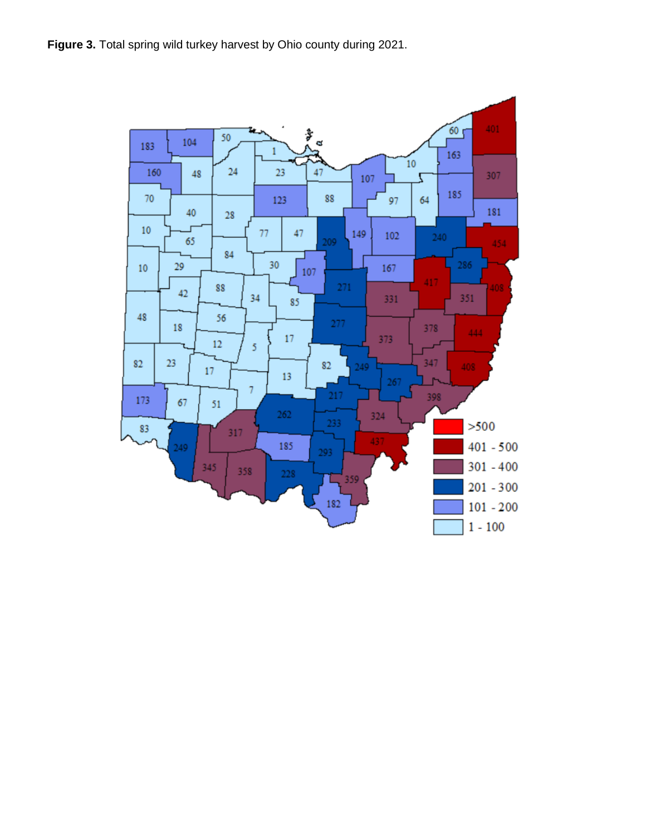**Figure 3.** Total spring wild turkey harvest by Ohio county during 2021.

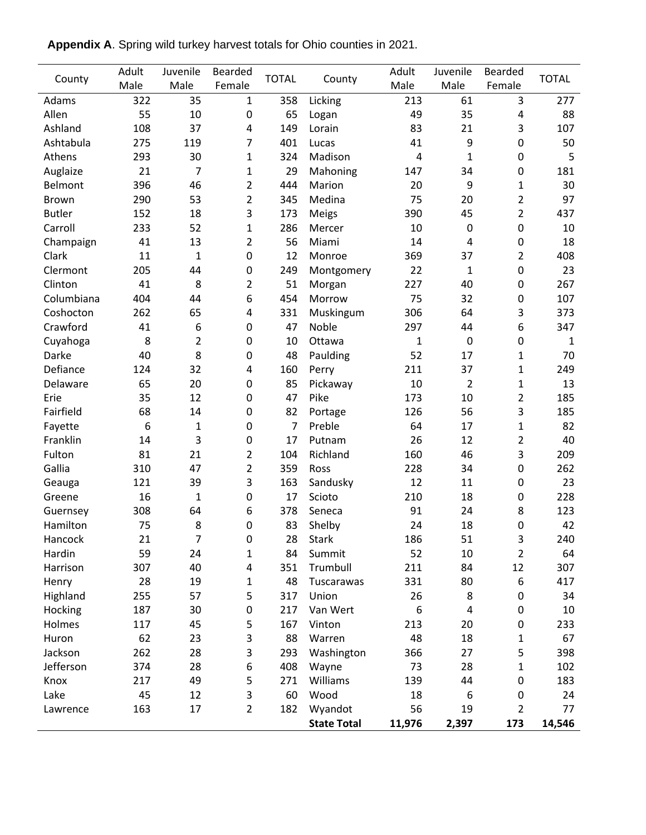|               | Adult | Juvenile       | <b>Bearded</b> | <b>TOTAL</b><br>County | Adult              | Juvenile     | <b>Bearded</b>   |                  |              |
|---------------|-------|----------------|----------------|------------------------|--------------------|--------------|------------------|------------------|--------------|
| County        | Male  | Male           | Female         |                        |                    | Male         | Male             | Female           | <b>TOTAL</b> |
| Adams         | 322   | 35             | $\mathbf{1}$   | 358                    | Licking            | 213          | 61               | 3                | 277          |
| Allen         | 55    | 10             | 0              | 65                     | Logan              |              | 35               | 4                | 88           |
| Ashland       | 108   | 37             | 4              | 149                    | Lorain             | 83           | 21               | 3                | 107          |
| Ashtabula     | 275   | 119            | 7              | 401                    | Lucas              | 41           | 9                | $\boldsymbol{0}$ | 50           |
| Athens        | 293   | 30             | 1              | 324                    | Madison            | 4            | $\mathbf{1}$     | $\boldsymbol{0}$ | 5            |
| Auglaize      | 21    | $\overline{7}$ | 1              | 29                     | Mahoning           | 147          | 34               | $\boldsymbol{0}$ | 181          |
| Belmont       | 396   | 46             | $\overline{2}$ | 444                    | Marion             | 20           | 9                | $\mathbf{1}$     | 30           |
| <b>Brown</b>  | 290   | 53             | $\overline{2}$ | 345                    | Medina             | 75           | 20               | 2                | 97           |
| <b>Butler</b> | 152   | 18             | 3              | 173                    | Meigs              | 390          | 45               | 2                | 437          |
| Carroll       | 233   | 52             | 1              | 286                    | Mercer             | 10           | $\mathbf 0$      | $\boldsymbol{0}$ | 10           |
| Champaign     | 41    | 13             | $\overline{2}$ | 56                     | Miami              | 14           | $\overline{4}$   | $\boldsymbol{0}$ | 18           |
| Clark         | 11    | $\mathbf 1$    | 0              | 12                     | Monroe             | 369          | 37               | 2                | 408          |
| Clermont      | 205   | 44             | 0              | 249                    | Montgomery         | 22           | $\mathbf{1}$     | $\boldsymbol{0}$ | 23           |
| Clinton       | 41    | 8              | 2              | 51                     | Morgan             | 227          | 40               | $\boldsymbol{0}$ | 267          |
| Columbiana    | 404   | 44             | 6              | 454                    | Morrow             | 75           | 32               | $\boldsymbol{0}$ | 107          |
| Coshocton     | 262   | 65             | 4              | 331                    | Muskingum          | 306          | 64               | 3                | 373          |
| Crawford      | 41    | 6              | 0              | 47                     | Noble              | 297          | 44               | 6                | 347          |
| Cuyahoga      | 8     | $\overline{2}$ | 0              | 10                     | Ottawa             | $\mathbf{1}$ | $\mathbf 0$      | $\pmb{0}$        | $\mathbf{1}$ |
| Darke         | 40    | 8              | 0              | 48                     | Paulding           | 52           | 17               | $\mathbf{1}$     | 70           |
| Defiance      | 124   | 32             | 4              | 160                    | Perry              | 211          | 37               | $\mathbf{1}$     | 249          |
| Delaware      | 65    | 20             | 0              | 85                     | Pickaway           | 10           | $\overline{2}$   | $\mathbf{1}$     | 13           |
| Erie          | 35    | 12             | 0              | 47                     | Pike               | 173          | 10               | $\overline{c}$   | 185          |
| Fairfield     | 68    | 14             | 0              | 82                     | Portage            | 126          | 56               | 3                | 185          |
| Fayette       | 6     | $\mathbf{1}$   | 0              | 7                      | Preble             | 64           | 17               | $\mathbf{1}$     | 82           |
| Franklin      | 14    | 3              | 0              | 17                     | Putnam             | 26           | 12               | 2                | 40           |
| Fulton        | 81    | 21             | 2              | 104                    | Richland           | 160          | 46               | 3                | 209          |
| Gallia        | 310   | 47             | $\overline{2}$ | 359                    | Ross               | 228          | 34               | $\boldsymbol{0}$ | 262          |
| Geauga        | 121   | 39             | 3              | 163                    | Sandusky           | 12           | 11               | 0                | 23           |
| Greene        | 16    | 1              | 0              | 17                     | Scioto             | 210          | 18               | 0                | 228          |
| Guernsey      | 308   | 64             | 6              | 378                    | Seneca             | 91           | 24               | 8                | 123          |
| Hamilton      | 75    | 8              | 0              | 83                     | Shelby             | 24           | 18               | $\boldsymbol{0}$ | 42           |
| Hancock       | 21    | 7              | 0              | 28                     | <b>Stark</b>       | 186          | 51               | 3                | 240          |
| Hardin        | 59    | 24             | 1              | 84                     | Summit             | 52           | 10               | $\overline{c}$   | 64           |
| Harrison      | 307   | 40             | 4              | 351                    | Trumbull           | 211          | 84               | 12               | 307          |
| Henry         | 28    | 19             | 1              | 48                     | Tuscarawas         | 331          | 80               | 6                | 417          |
| Highland      | 255   | 57             | 5              | 317                    | Union              | 26           | 8                | 0                | 34           |
| Hocking       | 187   | 30             | 0              | 217                    | Van Wert           | 6            | $\overline{4}$   | 0                | 10           |
| Holmes        | 117   | 45             | 5              | 167                    | Vinton             | 213          | 20               | 0                | 233          |
| Huron         | 62    | 23             | 3              | 88                     | Warren             | 48           | 18               | $\mathbf{1}$     | 67           |
| Jackson       | 262   | 28             | 3              | 293                    | Washington         | 366          | 27               | 5                | 398          |
| Jefferson     | 374   | 28             | 6              | 408                    | Wayne              | 73           | 28               | $\mathbf{1}$     | 102          |
| Knox          | 217   | 49             | 5              | 271                    | Williams           | 139          | 44               | $\boldsymbol{0}$ | 183          |
| Lake          | 45    | 12             | 3              | 60                     | Wood               | 18           | $\boldsymbol{6}$ | $\pmb{0}$        | 24           |
| Lawrence      | 163   | 17             | $\overline{2}$ | 182                    | Wyandot            | 56           | 19               | $\overline{2}$   | 77           |
|               |       |                |                |                        | <b>State Total</b> | 11,976       | 2,397            | 173              | 14,546       |

**Appendix A**. Spring wild turkey harvest totals for Ohio counties in 2021.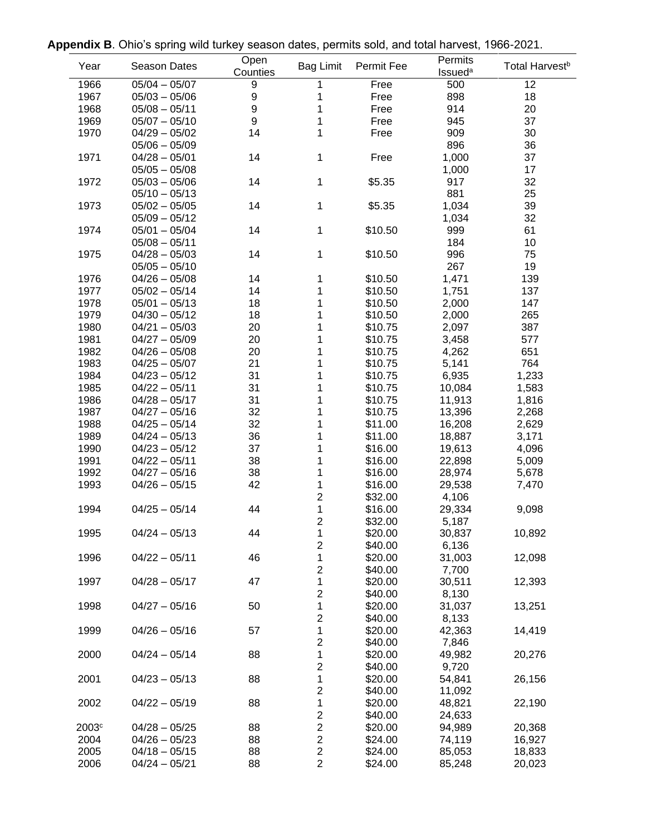| Appendix B. Ohio's spring wild turkey season dates, permits sold, and total harvest, 1966-2021. |  |  |  |
|-------------------------------------------------------------------------------------------------|--|--|--|
|                                                                                                 |  |  |  |

|                   | y. יי ישט טיייט. | $\cdots$         | $\sim$                  | onnico ooid, and total narvoot, |                           |                            |
|-------------------|------------------|------------------|-------------------------|---------------------------------|---------------------------|----------------------------|
| Year              | Season Dates     | Open<br>Counties |                         | Bag Limit Permit Fee            | Permits<br><b>Issueda</b> | Total Harvest <sup>b</sup> |
| 1966              | $05/04 - 05/07$  | 9                |                         | Free                            | 500                       | 12                         |
| 1967              | $05/03 - 05/06$  | $\boldsymbol{9}$ |                         | Free                            | 898                       | 18                         |
| 1968              | $05/08 - 05/11$  | $\boldsymbol{9}$ |                         | Free                            | 914                       | 20                         |
| 1969              | $05/07 - 05/10$  | $\boldsymbol{9}$ | 1                       | Free                            | 945                       | 37                         |
| 1970              | $04/29 - 05/02$  | 14               | 1                       | Free                            | 909                       | 30                         |
|                   |                  |                  |                         |                                 |                           |                            |
|                   | $05/06 - 05/09$  |                  |                         |                                 | 896                       | 36                         |
| 1971              | $04/28 - 05/01$  | 14               | 1                       | Free                            | 1,000                     | 37                         |
|                   | $05/05 - 05/08$  |                  |                         |                                 | 1,000                     | 17                         |
| 1972              | $05/03 - 05/06$  | 14               | 1                       | \$5.35                          | 917                       | 32                         |
|                   | $05/10 - 05/13$  |                  |                         |                                 | 881                       | 25                         |
| 1973              | $05/02 - 05/05$  | 14               | 1                       | \$5.35                          | 1,034                     | 39                         |
|                   | $05/09 - 05/12$  |                  |                         |                                 | 1,034                     | 32                         |
| 1974              | $05/01 - 05/04$  | 14               | 1                       | \$10.50                         | 999                       | 61                         |
|                   | $05/08 - 05/11$  |                  |                         |                                 | 184                       | 10                         |
|                   |                  | 14               |                         |                                 | 996                       | 75                         |
| 1975              | $04/28 - 05/03$  |                  | 1                       | \$10.50                         |                           |                            |
|                   | $05/05 - 05/10$  |                  |                         |                                 | 267                       | 19                         |
| 1976              | $04/26 - 05/08$  | 14               | 1                       | \$10.50                         | 1,471                     | 139                        |
| 1977              | $05/02 - 05/14$  | 14               | 1                       | \$10.50                         | 1,751                     | 137                        |
| 1978              | $05/01 - 05/13$  | 18               | 1                       | \$10.50                         | 2,000                     | 147                        |
| 1979              | $04/30 - 05/12$  | 18               |                         | \$10.50                         | 2,000                     | 265                        |
| 1980              | $04/21 - 05/03$  | 20               |                         | \$10.75                         | 2,097                     | 387                        |
| 1981              | $04/27 - 05/09$  | 20               |                         | \$10.75                         | 3,458                     | 577                        |
| 1982              | $04/26 - 05/08$  | 20               |                         | \$10.75                         | 4,262                     | 651                        |
| 1983              | $04/25 - 05/07$  | 21               |                         | \$10.75                         | 5,141                     | 764                        |
|                   |                  |                  |                         |                                 |                           |                            |
| 1984              | $04/23 - 05/12$  | 31               |                         | \$10.75                         | 6,935                     | 1,233                      |
| 1985              | $04/22 - 05/11$  | 31               |                         | \$10.75                         | 10,084                    | 1,583                      |
| 1986              | $04/28 - 05/17$  | 31               | 1                       | \$10.75                         | 11,913                    | 1,816                      |
| 1987              | $04/27 - 05/16$  | 32               | 1                       | \$10.75                         | 13,396                    | 2,268                      |
| 1988              | $04/25 - 05/14$  | 32               | 1                       | \$11.00                         | 16,208                    | 2,629                      |
| 1989              | $04/24 - 05/13$  | 36               |                         | \$11.00                         | 18,887                    | 3,171                      |
| 1990              | $04/23 - 05/12$  | 37               |                         | \$16.00                         | 19,613                    | 4,096                      |
| 1991              | $04/22 - 05/11$  | 38               |                         | \$16.00                         | 22,898                    | 5,009                      |
| 1992              | $04/27 - 05/16$  | 38               | 1                       | \$16.00                         | 28,974                    | 5,678                      |
| 1993              | $04/26 - 05/15$  | 42               | 1                       | \$16.00                         | 29,538                    | 7,470                      |
|                   |                  |                  | $\overline{\mathbf{c}}$ | \$32.00                         | 4,106                     |                            |
| 1994              | $04/25 - 05/14$  |                  |                         |                                 |                           |                            |
|                   |                  | 44               | 1                       | \$16.00                         | 29,334                    | 9,098                      |
|                   |                  |                  | $\overline{c}$          | \$32.00                         | 5,187                     |                            |
| 1995              | $04/24 - 05/13$  | 44               | 1                       | \$20.00                         | 30,837                    | 10,892                     |
|                   |                  |                  | 2                       | \$40.00                         | 6,136                     |                            |
| 1996              | $04/22 - 05/11$  | 46               | 1                       | \$20.00                         | 31,003                    | 12,098                     |
|                   |                  |                  | $\overline{c}$          | \$40.00                         | 7,700                     |                            |
| 1997              | $04/28 - 05/17$  | 47               | 1                       | \$20.00                         | 30,511                    | 12,393                     |
|                   |                  |                  | $\overline{c}$          | \$40.00                         | 8,130                     |                            |
| 1998              | $04/27 - 05/16$  | 50               | $\mathbf{1}$            | \$20.00                         | 31,037                    | 13,251                     |
|                   |                  |                  | $\overline{\mathbf{c}}$ | \$40.00                         | 8,133                     |                            |
| 1999              | $04/26 - 05/16$  | 57               | $\mathbf 1$             | \$20.00                         |                           |                            |
|                   |                  |                  |                         |                                 | 42,363                    | 14,419                     |
|                   |                  |                  | 2                       | \$40.00                         | 7,846                     |                            |
| 2000              | $04/24 - 05/14$  | 88               | 1                       | \$20.00                         | 49,982                    | 20,276                     |
|                   |                  |                  | $\overline{c}$          | \$40.00                         | 9,720                     |                            |
| 2001              | $04/23 - 05/13$  | 88               | 1                       | \$20.00                         | 54,841                    | 26,156                     |
|                   |                  |                  | 2                       | \$40.00                         | 11,092                    |                            |
| 2002              | $04/22 - 05/19$  | 88               | 1                       | \$20.00                         | 48,821                    | 22,190                     |
|                   |                  |                  | $\boldsymbol{2}$        | \$40.00                         | 24,633                    |                            |
| 2003 <sup>c</sup> | $04/28 - 05/25$  | 88               | $\overline{c}$          | \$20.00                         | 94,989                    | 20,368                     |
| 2004              | $04/26 - 05/23$  | 88               | $\overline{\mathbf{c}}$ | \$24.00                         | 74,119                    | 16,927                     |
| 2005              | $04/18 - 05/15$  | 88               | $\overline{c}$          | \$24.00                         | 85,053                    |                            |
|                   |                  |                  |                         |                                 |                           | 18,833                     |
| 2006              | $04/24 - 05/21$  | 88               | $\overline{2}$          | \$24.00                         | 85,248                    | 20,023                     |